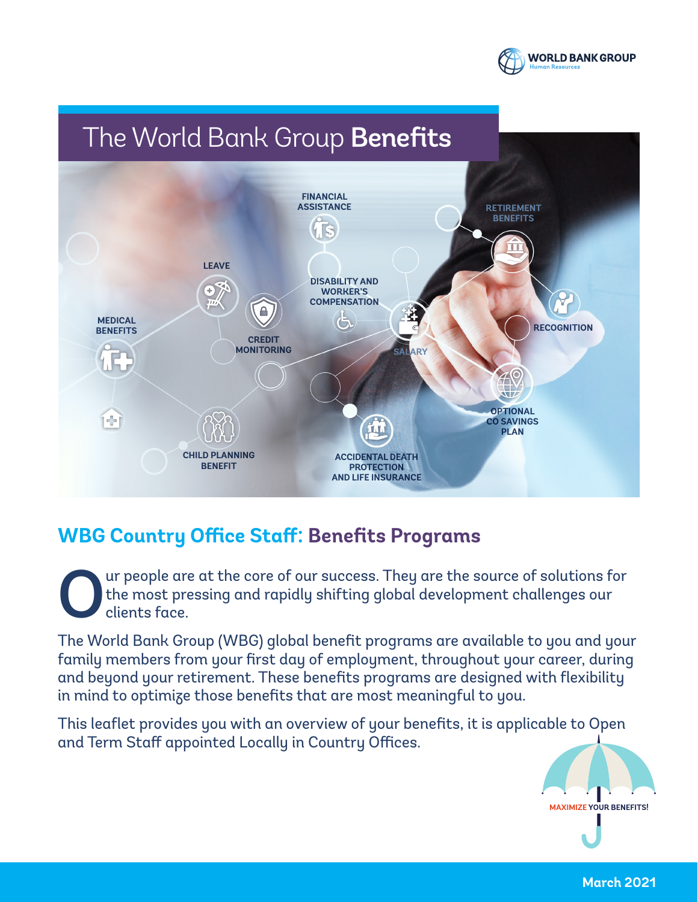

## The World Bank Group Benefits



## **WBG Country Office Staff: Benefits Programs**

Our people are at the core of our success. They are the source of solutions for the most pressing and rapidly shifting global development challenges our clients face. the most pressing and rapidly shifting global development challenges our clients face.

The World Bank Group (WBG) global benefit programs are available to you and your family members from your first day of employment, throughout your career, during and beyond your retirement. These benefits programs are designed with flexibility in mind to optimize those benefits that are most meaningful to you.

This leaflet provides you with an overview of your benefits, it is applicable to Open and Term Staff appointed Locally in Country Offices.



**March 2021**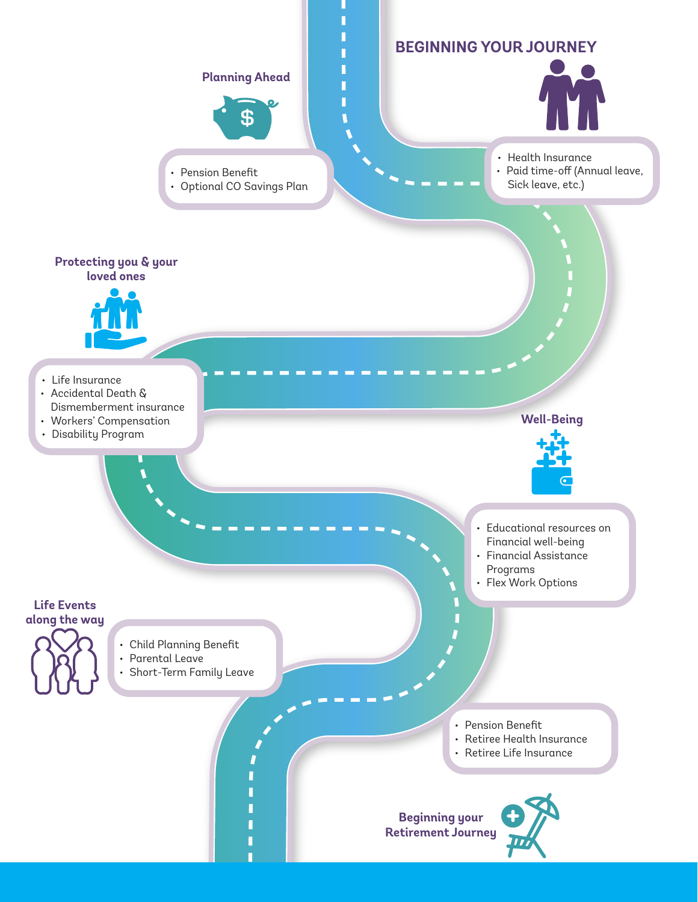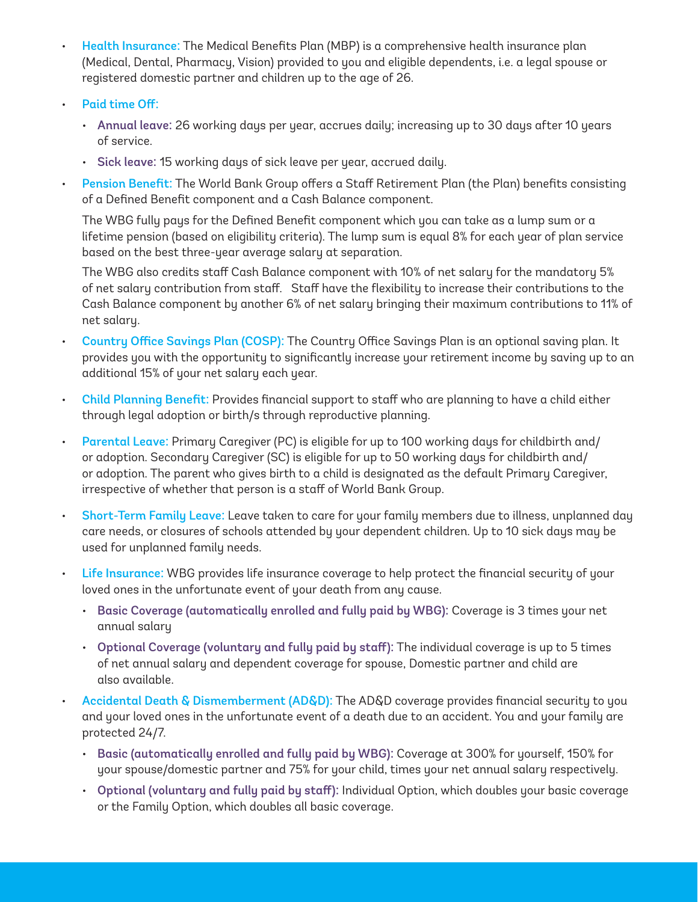- Health Insurance: The Medical Benefits Plan (MBP) is a comprehensive health insurance plan (Medical, Dental, Pharmacy, Vision) provided to you and eligible dependents, i.e. a legal spouse or registered domestic partner and children up to the age of 26.
- Paid time Off:
	- Annual leave: 26 working days per year, accrues daily; increasing up to 30 days after 10 years of service.
	- Sick leave: 15 working days of sick leave per year, accrued daily.
- Pension Benefit: The World Bank Group offers a Staff Retirement Plan (the Plan) benefits consisting of a Defined Benefit component and a Cash Balance component.

The WBG fully pays for the Defined Benefit component which you can take as a lump sum or a lifetime pension (based on eligibility criteria). The lump sum is equal 8% for each year of plan service based on the best three-year average salary at separation.

The WBG also credits staff Cash Balance component with 10% of net salary for the mandatory 5% of net salary contribution from staff. Staff have the flexibility to increase their contributions to the Cash Balance component by another 6% of net salary bringing their maximum contributions to 11% of net salary.

- Country Office Savings Plan (COSP): The Country Office Savings Plan is an optional saving plan. It provides you with the opportunity to significantly increase your retirement income by saving up to an additional 15% of your net salary each year.
- Child Planning Benefit: Provides financial support to staff who are planning to have a child either through legal adoption or birth/s through reproductive planning.
- Parental Leave: Primary Caregiver (PC) is eligible for up to 100 working days for childbirth and/ or adoption. Secondary Caregiver (SC) is eligible for up to 50 working days for childbirth and/ or adoption. The parent who gives birth to a child is designated as the default Primary Caregiver, irrespective of whether that person is a staff of World Bank Group.
- Short-Term Family Leave: Leave taken to care for your family members due to illness, unplanned day care needs, or closures of schools attended by your dependent children. Up to 10 sick days may be used for unplanned family needs.
- Life Insurance: WBG provides life insurance coverage to help protect the financial security of your loved ones in the unfortunate event of your death from any cause.
	- Basic Coverage (automatically enrolled and fully paid by WBG): Coverage is 3 times your net annual salary
	- Optional Coverage (voluntary and fully paid by staff): The individual coverage is up to 5 times of net annual salary and dependent coverage for spouse, Domestic partner and child are also available.
	- Accidental Death & Dismemberment (AD&D): The AD&D coverage provides financial security to you and your loved ones in the unfortunate event of a death due to an accident. You and your family are protected 24/7.
		- Basic (automatically enrolled and fully paid by WBG): Coverage at 300% for yourself, 150% for your spouse/domestic partner and 75% for your child, times your net annual salary respectively.
		- Optional (voluntary and fully paid by staff): Individual Option, which doubles your basic coverage or the Family Option, which doubles all basic coverage.